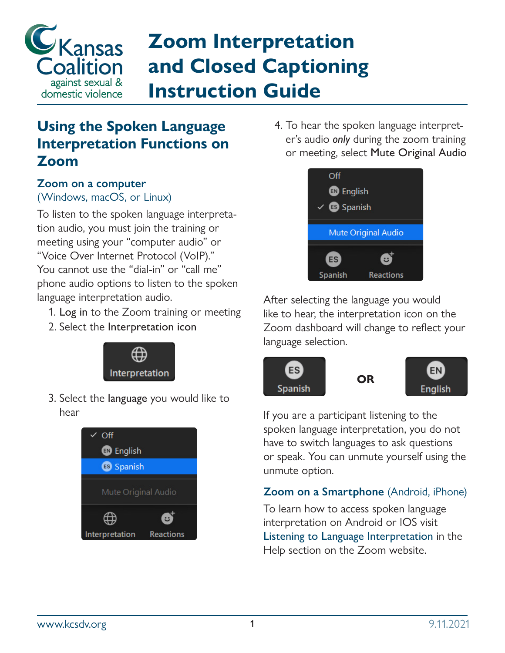

# **Zoom Interpretation and Closed Captioning Instruction Guide**

### **Using the Spoken Language Interpretation Functions on Zoom**

#### **Zoom on a computer**  (Windows, macOS, or Linux)

To listen to the spoken language interpretation audio, you must join the training or meeting using your "computer audio" or "Voice Over Internet Protocol (VoIP)." You cannot use the "dial-in" or "call me" phone audio options to listen to the spoken language interpretation audio.

- 1. Log in to the Zoom training or meeting
- 2. Select the Interpretation icon



3. Select the language you would like to hear



4. To hear the spoken language interpreter's audio *only* during the zoom training or meeting, select Mute Original Audio



After selecting the language you would like to hear, the interpretation icon on the Zoom dashboard will change to reflect your language selection.



If you are a participant listening to the spoken language interpretation, you do not have to switch languages to ask questions or speak. You can unmute yourself using the unmute option.

#### **Zoom on a Smartphone** (Android, iPhone)

To learn how to access spoken language interpretation on Android or IOS visit [Listening to Language Interpretation](https://support.zoom.us/hc/en-us/articles/360034919791-Translating-your-meeting-or-webinar#:~:text=to.-,listening%20to%20language%20interpretation,-Windows) in the Help section on the Zoom website.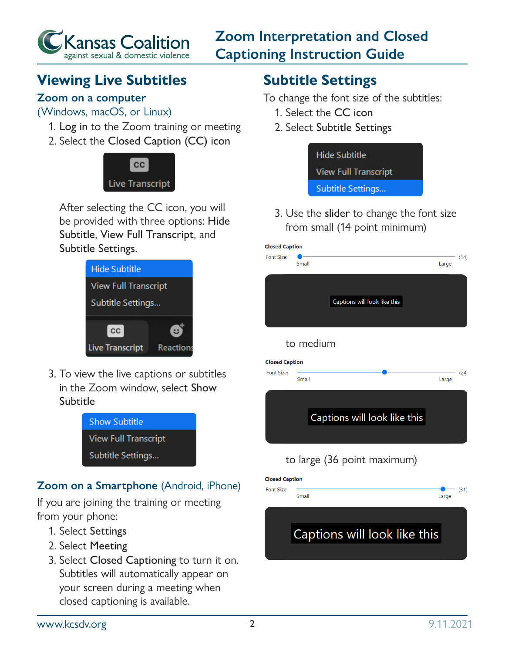

**Zoom Interpretation and Closed Captioning Instruction Guide**

## **Viewing Live Subtitles**

#### **Zoom on a computer**

(Windows, macOS, or Linux)

- 1. Log in to the Zoom training or meeting
- 2. Select the Closed Caption (CC) icon



After selecting the CC icon, you will be provided with three options: Hide Subtitle, View Full Transcript, and Subtitle Settings.



3. To view the live captions or subtitles in the Zoom window, select Show Subtitle



#### **Zoom on a Smartphone** (Android, iPhone)

If you are joining the training or meeting from your phone:

- 1. Select Settings
- 2. Select Meeting
- 3. Select Closed Captioning to turn it on. Subtitles will automatically appear on your screen during a meeting when closed captioning is available.

# **Subtitle Settings**

To change the font size of the subtitles:

- 1. Select the CC icon
- 2. Select Subtitle Settings



3. Use the slider to change the font size from small (14 point minimum)

| <b>Closed Caption</b>        |           |                              |       |      |
|------------------------------|-----------|------------------------------|-------|------|
| Font Size:                   | Small     |                              | Large | (14) |
|                              |           |                              |       |      |
|                              |           | Captions will look like this |       |      |
|                              |           |                              |       |      |
|                              | to medium |                              |       |      |
| <b>Closed Caption</b>        |           |                              |       |      |
| Font Size:                   | Small     |                              | Large | (24) |
|                              |           |                              |       |      |
| Captions will look like this |           |                              |       |      |
|                              |           |                              |       |      |
|                              |           | to large (36 point maximum)  |       |      |